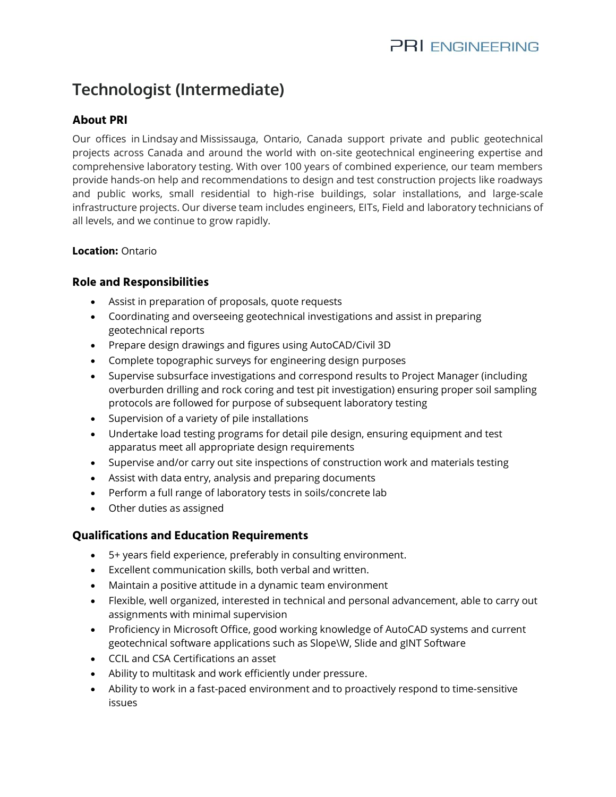# **Technologist (Intermediate)**

## **About PRI**

Our offices in [Lindsaya](https://www.google.com/maps/dir/44.3545527,-78.7374432/@44.354553,-78.737443,16z?hl=en)nd [Mississauga,](https://www.google.com/maps/dir/43.7148078,-79.6254849/@43.714808,-79.625485,16z?hl=en) Ontario, Canada support private and public geotechnical projects across Canada and around the world with on-site geotechnical engineering expertise and comprehensive laboratory testing. With over 100 years of combined experience, our team members provide hands-on help and recommendations to design and test construction projects like roadways and public works, small residential to high-rise buildings, solar installations, and large-scale infrastructure projects. Our diverse team includes engineers, EITs, Field and laboratory technicians of all levels, and we continue to grow rapidly.

#### **Location:** Ontario

#### **Role and Responsibilities**

- Assist in preparation of proposals, quote requests
- Coordinating and overseeing geotechnical investigations and assist in preparing geotechnical reports
- Prepare design drawings and figures using AutoCAD/Civil 3D
- Complete topographic surveys for engineering design purposes
- Supervise subsurface investigations and correspond results to Project Manager (including overburden drilling and rock coring and test pit investigation) ensuring proper soil sampling protocols are followed for purpose of subsequent laboratory testing
- Supervision of a variety of pile installations
- Undertake load testing programs for detail pile design, ensuring equipment and test apparatus meet all appropriate design requirements
- Supervise and/or carry out site inspections of construction work and materials testing
- Assist with data entry, analysis and preparing documents
- Perform a full range of laboratory tests in soils/concrete lab
- Other duties as assigned

### **Qualifications and Education Requirements**

- 5+ years field experience, preferably in consulting environment.
- Excellent communication skills, both verbal and written.
- Maintain a positive attitude in a dynamic team environment
- Flexible, well organized, interested in technical and personal advancement, able to carry out assignments with minimal supervision
- Proficiency in Microsoft Office, good working knowledge of AutoCAD systems and current geotechnical software applications such as Slope\W, Slide and gINT Software
- CCIL and CSA Certifications an asset
- Ability to multitask and work efficiently under pressure.
- Ability to work in a fast-paced environment and to proactively respond to time-sensitive issues